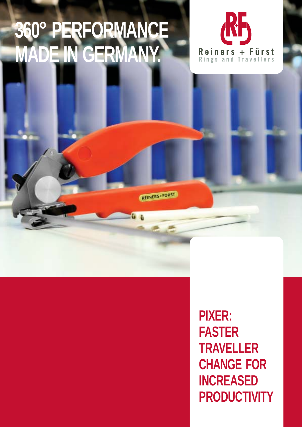## **360° PERFORMANCE MADE IN GERMANY.**

REINERS+FURST



**PIXER: FASTER TRAVELLER CHANGE FOR INCREASED PRODUCTIVITY**